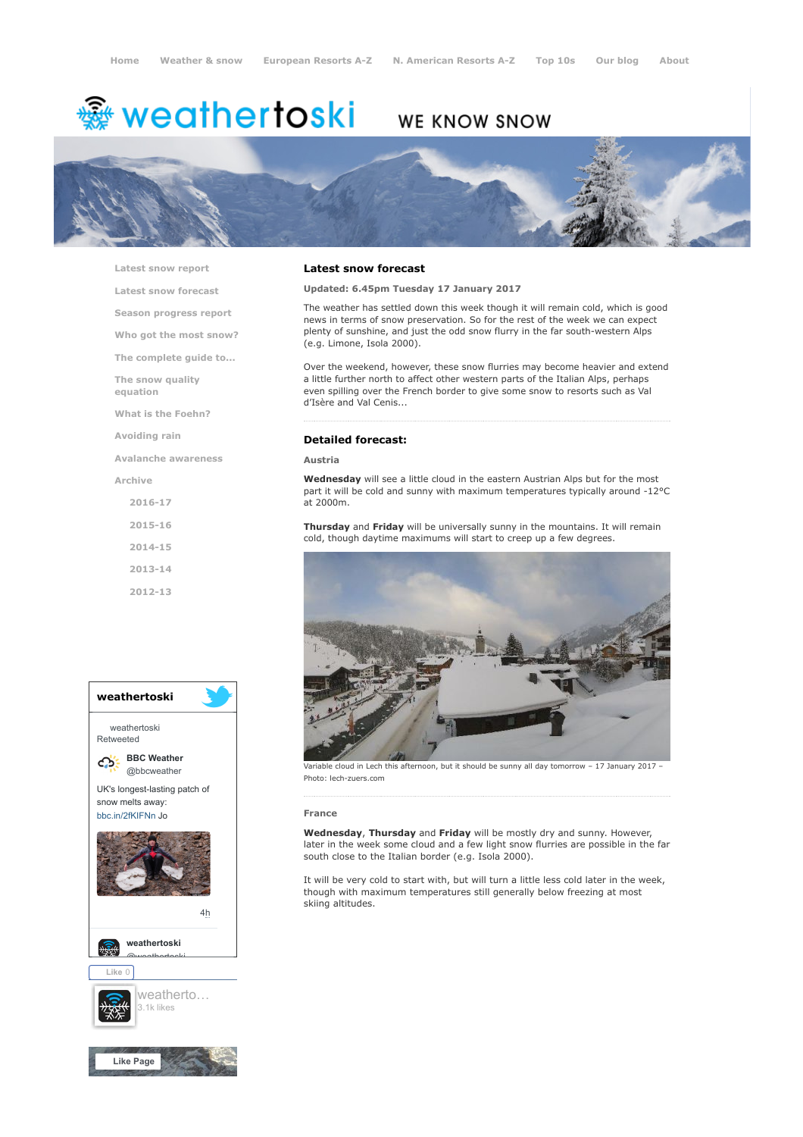# **※ weathertoski**

# WE KNOW SNOW



[Latest snow report](https://www.weathertoski.co.uk/weather-snow/latest-snow-report/)

[Latest snow forecast](https://www.weathertoski.co.uk/weather-snow/latest-snow-forecast/)

[Season progress report](https://www.weathertoski.co.uk/weather-snow/season-progress-report/)

[Who got the most snow?](https://www.weathertoski.co.uk/weather-snow/who-got-the-most-snow/)

[The complete guide to...](https://www.weathertoski.co.uk/weather-snow/the-complete-guide-to/)

[The snow quality](https://www.weathertoski.co.uk/weather-snow/the-snow-quality-equation/)

[What is the Foehn?](https://www.weathertoski.co.uk/weather-snow/what-is-the-foehn/)

[Avoiding rain](https://www.weathertoski.co.uk/weather-snow/avoiding-rain/)

[Avalanche awareness](https://www.weathertoski.co.uk/weather-snow/avalanche-awareness/)

[Archive](https://www.weathertoski.co.uk/weather-snow/archive/)

equation

- [2016-17](https://www.weathertoski.co.uk/weather-snow/archive/2016-17/)
- [2015-16](https://www.weathertoski.co.uk/weather-snow/archive/2015-16/)
- [2014-15](https://www.weathertoski.co.uk/weather-snow/archive/2014-15/)

[2013-14](https://www.weathertoski.co.uk/weather-snow/archive/2013-14/)

[2012-13](https://www.weathertoski.co.uk/weather-snow/archive/2012-13/)



# Latest snow forecast

Updated: 6.45pm Tuesday 17 January 2017

The weather has settled down this week though it will remain cold, which is good news in terms of snow preservation. So for the rest of the week we can expect plenty of sunshine, and just the odd snow flurry in the far south-western Alps (e.g. Limone, Isola 2000).

Over the weekend, however, these snow flurries may become heavier and extend a little further north to affect other western parts of the Italian Alps, perhaps even spilling over the French border to give some snow to resorts such as Val d'Isère and Val Cenis...

# Detailed forecast:

Austria

Wednesday will see a little cloud in the eastern Austrian Alps but for the most part it will be cold and sunny with maximum temperatures typically around -12°C at 2000m.

Thursday and Friday will be universally sunny in the mountains. It will remain cold, though daytime maximums will start to creep up a few degrees.



Variable cloud in Lech this afternoon, but it should be sunny all day tomorrow – 17 January 2017 – Photo: lech-zuers.com

#### France

Wednesday, Thursday and Friday will be mostly dry and sunny. However, later in the week some cloud and a few light snow flurries are possible in the far south close to the Italian border (e.g. Isola 2000).

It will be very cold to start with, but will turn a little less cold later in the week, though with maximum temperatures still generally below freezing at most skiing altitudes.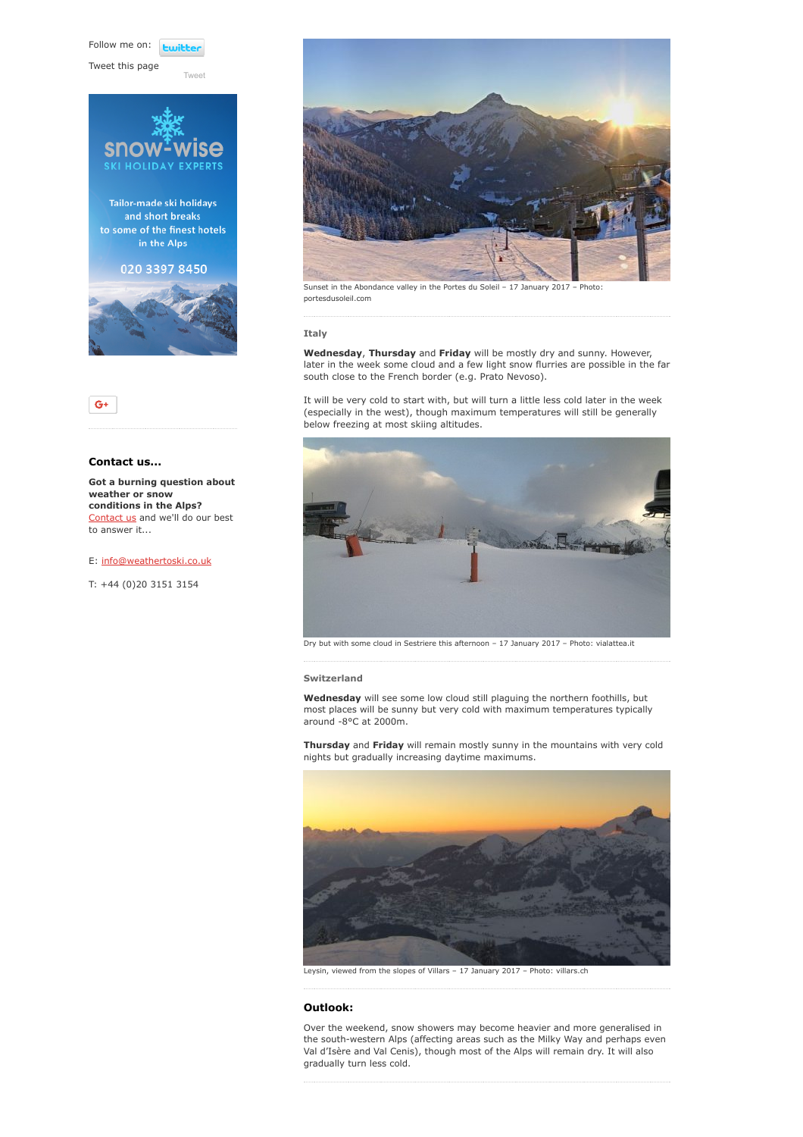Follow me on: **Lwitter** 

[Tweet](https://twitter.com/intent/tweet?original_referer=https%3A%2F%2Fwww.weathertoski.co.uk%2Fweather-snow%2Farchive%2Fsnow-forecast-17-01-2017%2F&ref_src=twsrc%5Etfw&text=Weather%20to%20ski%20-%20Snow%20forecast%20-%2017%20January%202017&tw_p=tweetbutton&url=https%3A%2F%2Fwww.weathertoski.co.uk%2Fweather-snow%2Farchive%2Fsnow-forecast-17-01-2017%2F)

Tweet this page





# Contact us...

Got a burning question about weather or snow conditions in the Alps? [Contact us](https://www.weathertoski.co.uk/about-1/contact-us/) and we'll do our best to answer it...

# E: [info@weathertoski.co.uk](mailto:fraser@weathertoski.co.uk)

T: +44 (0)20 3151 3154



Sunset in the Abondance valley in the Portes du Soleil – 17 January 2017 – Photo: portesdusoleil.com

# Italy

Wednesday, Thursday and Friday will be mostly dry and sunny. However, later in the week some cloud and a few light snow flurries are possible in the far south close to the French border (e.g. Prato Nevoso).

It will be very cold to start with, but will turn a little less cold later in the week (especially in the west), though maximum temperatures will still be generally below freezing at most skiing altitudes.



Dry but with some cloud in Sestriere this afternoon – 17 January 2017 – Photo: vialattea.it

### Switzerland

Wednesday will see some low cloud still plaguing the northern foothills, but most places will be sunny but very cold with maximum temperatures typically around -8°C at 2000m.

Thursday and Friday will remain mostly sunny in the mountains with very cold nights but gradually increasing daytime maximums.



Leysin, viewed from the slopes of Villars – 17 January 2017 – Photo: villars.ch

# Outlook:

Over the weekend, snow showers may become heavier and more generalised in the south-western Alps (affecting areas such as the Milky Way and perhaps even Val d'Isère and Val Cenis), though most of the Alps will remain dry. It will also gradually turn less cold.